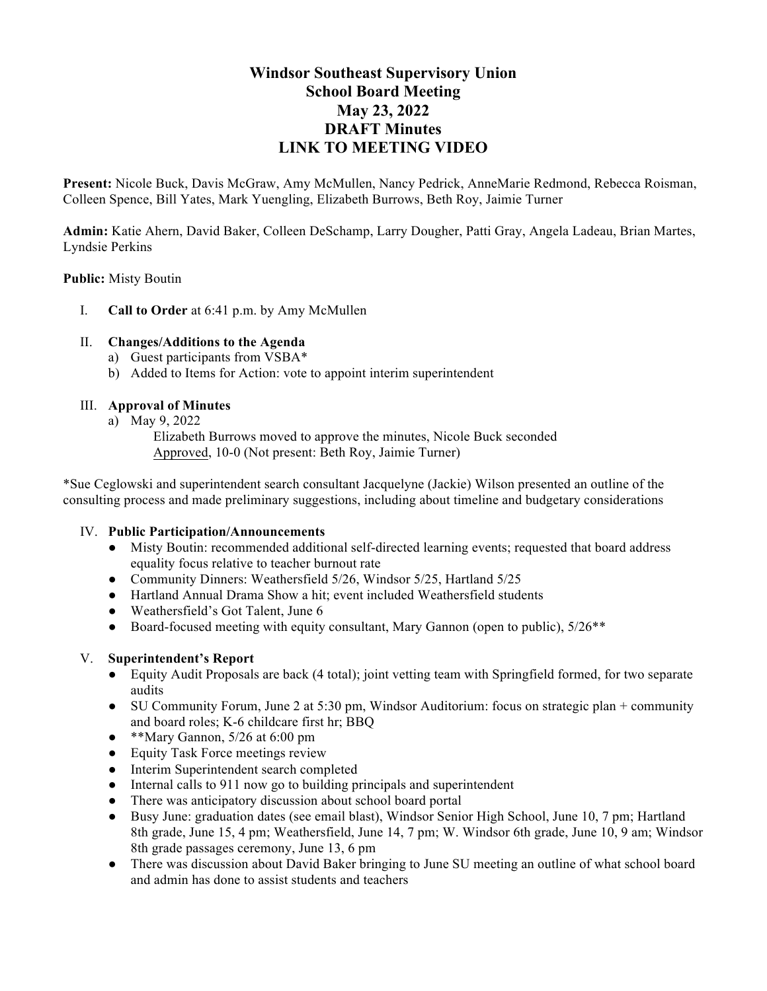# **Windsor Southeast Supervisory Union School Board Meeting May 23, 2022 DRAFT Minutes [LINK TO MEETING VIDEO](https://www.youtube.com/watch?time_continue=7&v=s2obV1WBUOo&feature=emb_logo)**

**Present:** Nicole Buck, Davis McGraw, Amy McMullen, Nancy Pedrick, AnneMarie Redmond, Rebecca Roisman, Colleen Spence, Bill Yates, Mark Yuengling, Elizabeth Burrows, Beth Roy, Jaimie Turner

**Admin:** Katie Ahern, David Baker, Colleen DeSchamp, Larry Dougher, Patti Gray, Angela Ladeau, Brian Martes, Lyndsie Perkins

## **Public:** Misty Boutin

I. **Call to Order** at 6:41 p.m. by Amy McMullen

# II. **Changes/Additions to the Agenda**

- a) Guest participants from VSBA\*
- b) Added to Items for Action: vote to appoint interim superintendent

# III. **Approval of Minutes**

- a) May 9, 2022
	- Elizabeth Burrows moved to approve the minutes, Nicole Buck seconded Approved, 10-0 (Not present: Beth Roy, Jaimie Turner)

\*Sue Ceglowski and superintendent search consultant Jacquelyne (Jackie) Wilson presented an outline of the consulting process and made preliminary suggestions, including about timeline and budgetary considerations

## IV. **Public Participation/Announcements**

- Misty Boutin: recommended additional self-directed learning events; requested that board address equality focus relative to teacher burnout rate
- Community Dinners: Weathersfield 5/26, Windsor 5/25, Hartland 5/25
- Hartland Annual Drama Show a hit; event included Weathersfield students
- Weathersfield's Got Talent, June 6
- Board-focused meeting with equity consultant, Mary Gannon (open to public),  $5/26**$

## V. **Superintendent's Report**

- Equity Audit Proposals are back (4 total); joint vetting team with Springfield formed, for two separate audits
- SU Community Forum, June 2 at 5:30 pm, Windsor Auditorium: focus on strategic plan + community and board roles; K-6 childcare first hr; BBQ
- $\bullet$  \*\*Mary Gannon, 5/26 at 6:00 pm
- Equity Task Force meetings review
- Interim Superintendent search completed
- Internal calls to 911 now go to building principals and superintendent
- There was anticipatory discussion about school board portal
- Busy June: graduation dates (see email blast), Windsor Senior High School, June 10, 7 pm; Hartland 8th grade, June 15, 4 pm; Weathersfield, June 14, 7 pm; W. Windsor 6th grade, June 10, 9 am; Windsor 8th grade passages ceremony, June 13, 6 pm
- There was discussion about David Baker bringing to June SU meeting an outline of what school board and admin has done to assist students and teachers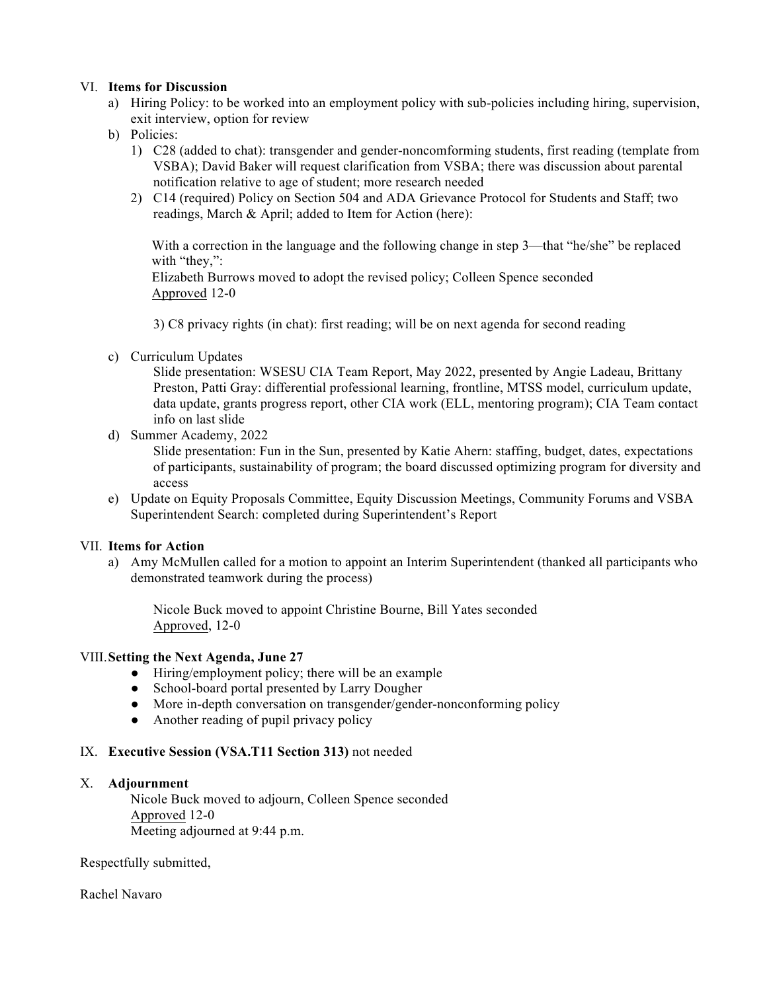#### VI. **Items for Discussion**

- a) Hiring Policy: to be worked into an employment policy with sub-policies including hiring, supervision, exit interview, option for review
- b) Policies:
	- 1) C28 (added to chat): transgender and gender-noncomforming students, first reading (template from VSBA); David Baker will request clarification from VSBA; there was discussion about parental notification relative to age of student; more research needed
	- 2) C14 (required) Policy on Section 504 and ADA Grievance Protocol for Students and Staff; two readings, March & April; added to Item for Action (here):

With a correction in the language and the following change in step 3—that "he/she" be replaced with "they,":

Elizabeth Burrows moved to adopt the revised policy; Colleen Spence seconded Approved 12-0

3) C8 privacy rights (in chat): first reading; will be on next agenda for second reading

c) Curriculum Updates

Slide presentation: WSESU CIA Team Report, May 2022, presented by Angie Ladeau, Brittany Preston, Patti Gray: differential professional learning, frontline, MTSS model, curriculum update, data update, grants progress report, other CIA work (ELL, mentoring program); CIA Team contact info on last slide

d) Summer Academy, 2022

Slide presentation: Fun in the Sun, presented by Katie Ahern: staffing, budget, dates, expectations of participants, sustainability of program; the board discussed optimizing program for diversity and access

e) Update on Equity Proposals Committee, Equity Discussion Meetings, Community Forums and VSBA Superintendent Search: completed during Superintendent's Report

## VII. **Items for Action**

a) Amy McMullen called for a motion to appoint an Interim Superintendent (thanked all participants who demonstrated teamwork during the process)

Nicole Buck moved to appoint Christine Bourne, Bill Yates seconded Approved, 12-0

#### VIII.**Setting the Next Agenda, June 27**

- Hiring/employment policy; there will be an example
- School-board portal presented by Larry Dougher
- More in-depth conversation on transgender/gender-nonconforming policy
- Another reading of pupil privacy policy

#### IX. **Executive Session (VSA.T11 Section 313)** not needed

## X. **Adjournment**

Nicole Buck moved to adjourn, Colleen Spence seconded Approved 12-0 Meeting adjourned at 9:44 p.m.

Respectfully submitted,

Rachel Navaro